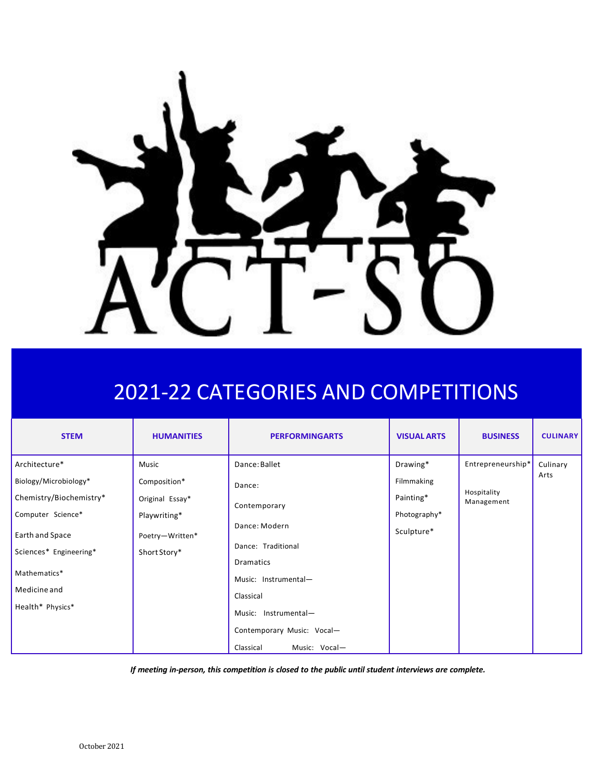

# 2021-22 CATEGORIES AND COMPETITIONS

| <b>STEM</b>             | <b>HUMANITIES</b> | <b>PERFORMINGARTS</b>         | <b>VISUAL ARTS</b> | <b>BUSINESS</b>           | <b>CULINARY</b>  |
|-------------------------|-------------------|-------------------------------|--------------------|---------------------------|------------------|
| Architecture*           | Music             | Dance: Ballet                 | Drawing*           | Entrepreneurship*         | Culinary<br>Arts |
| Biology/Microbiology*   | Composition*      | Dance:                        | Filmmaking         |                           |                  |
| Chemistry/Biochemistry* | Original Essay*   | Contemporary<br>Dance: Modern | Painting*          | Hospitality<br>Management |                  |
| Computer Science*       | Playwriting*      |                               | Photography*       |                           |                  |
| Earth and Space         | Poetry-Written*   |                               | Sculpture*         |                           |                  |
| Sciences* Engineering*  | Short Story*      | Dance: Traditional            |                    |                           |                  |
| Mathematics*            |                   | <b>Dramatics</b>              |                    |                           |                  |
|                         |                   | Music: Instrumental-          |                    |                           |                  |
| Medicine and            |                   | Classical                     |                    |                           |                  |
| Health* Physics*        |                   | Music: Instrumental-          |                    |                           |                  |
|                         |                   | Contemporary Music: Vocal-    |                    |                           |                  |
|                         |                   | Classical<br>Music: Vocal-    |                    |                           |                  |

*If meeting in-person, this competition is closed to the public until student interviews are complete.*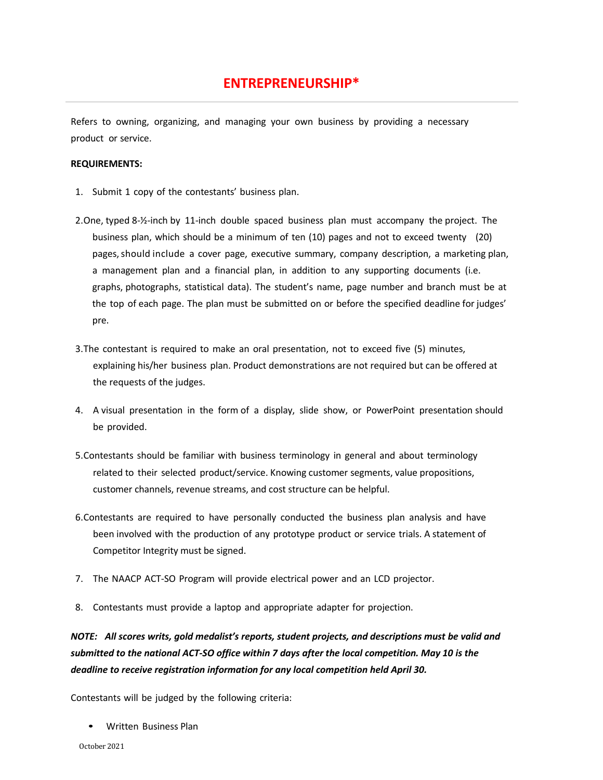# **ENTREPRENEURSHIP\***

Refers to owning, organizing, and managing your own business by providing a necessary product or service.

#### **REQUIREMENTS:**

- 1. Submit 1 copy of the contestants' business plan.
- 2.One, typed 8-½-inch by 11-inch double spaced business plan must accompany the project. The business plan, which should be a minimum of ten (10) pages and not to exceed twenty (20) pages, should include a cover page, executive summary, company description, a marketing plan, a management plan and a financial plan, in addition to any supporting documents (i.e. graphs, photographs, statistical data). The student's name, page number and branch must be at the top of each page. The plan must be submitted on or before the specified deadline for judges' pre.
- 3.The contestant is required to make an oral presentation, not to exceed five (5) minutes, explaining his/her business plan. Product demonstrations are not required but can be offered at the requests of the judges.
- 4. A visual presentation in the form of a display, slide show, or PowerPoint presentation should be provided.
- 5.Contestants should be familiar with business terminology in general and about terminology related to their selected product/service. Knowing customer segments, value propositions, customer channels, revenue streams, and cost structure can be helpful.
- 6.Contestants are required to have personally conducted the business plan analysis and have been involved with the production of any prototype product or service trials. A statement of Competitor Integrity must be signed.
- 7. The NAACP ACT-SO Program will provide electrical power and an LCD projector.
- 8. Contestants must provide a laptop and appropriate adapter for projection.

*NOTE: All scores writs, gold medalist's reports, student projects, and descriptions must be valid and submitted to the national ACT-SO office within 7 days after the local competition. May 10 is the deadline to receive registration information for any local competition held April 30.*

Contestants will be judged by the following criteria:

• Written Business Plan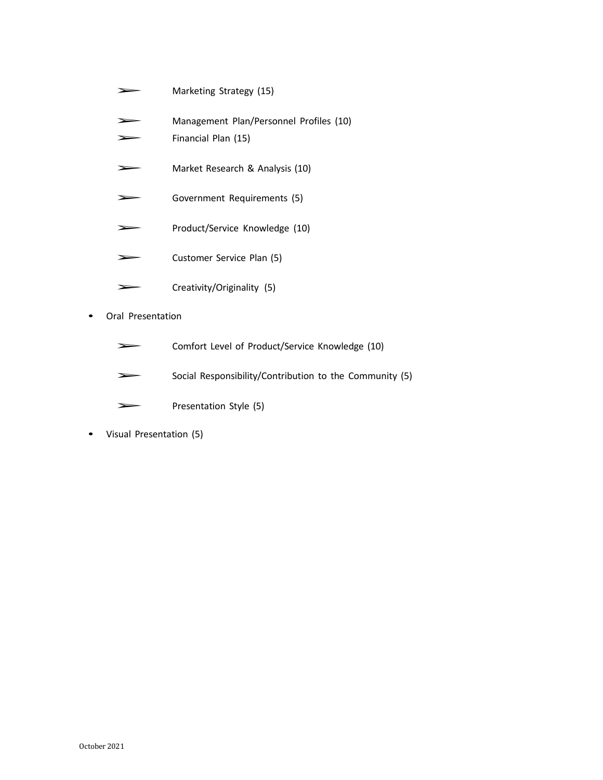- ➢ Marketing Strategy (15)
- ➢ Management Plan/Personnel Profiles (10)
- ➢ Financial Plan (15)
- ➢ Market Research & Analysis (10)
- ➢ Government Requirements (5)
- ➢ Product/Service Knowledge (10)
- ➢ Customer Service Plan (5)
- ➢ Creativity/Originality (5)
- Oral Presentation
	- ➢ Comfort Level of Product/Service Knowledge (10)
	- Social Responsibility/Contribution to the Community (5)
	- ➢ Presentation Style (5)
- Visual Presentation (5)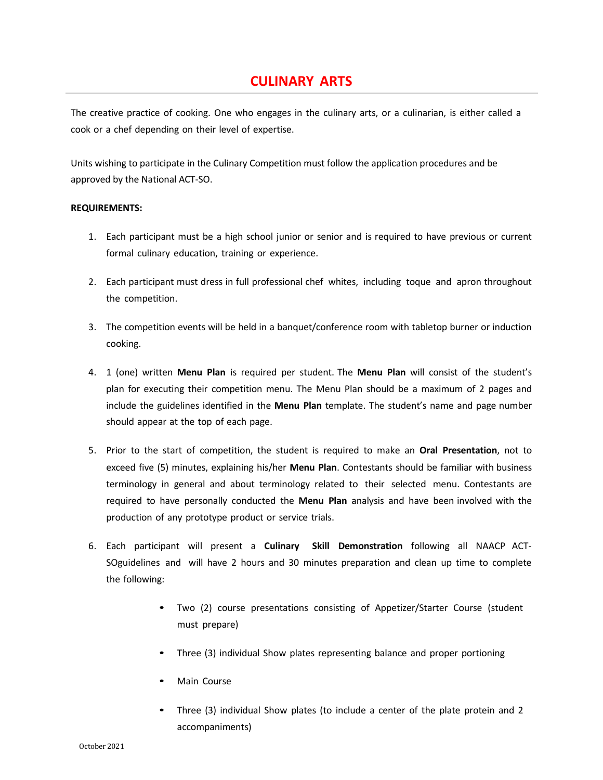# **CULINARY ARTS**

The creative practice of cooking. One who engages in the culinary arts, or a culinarian, is either called a cook or a chef depending on their level of expertise.

Units wishing to participate in the Culinary Competition must follow the application procedures and be approved by the National ACT-SO.

#### **REQUIREMENTS:**

- 1. Each participant must be a high school junior or senior and is required to have previous or current formal culinary education, training or experience.
- 2. Each participant must dress in full professional chef whites, including toque and apron throughout the competition.
- 3. The competition events will be held in a banquet/conference room with tabletop burner or induction cooking.
- 4. 1 (one) written **Menu Plan** is required per student. The **Menu Plan** will consist of the student's plan for executing their competition menu. The Menu Plan should be a maximum of 2 pages and include the guidelines identified in the **Menu Plan** template. The student's name and page number should appear at the top of each page.
- 5. Prior to the start of competition, the student is required to make an **Oral Presentation**, not to exceed five (5) minutes, explaining his/her **Menu Plan**. Contestants should be familiar with business terminology in general and about terminology related to their selected menu. Contestants are required to have personally conducted the **Menu Plan** analysis and have been involved with the production of any prototype product or service trials.
- 6. Each participant will present a **Culinary Skill Demonstration** following all NAACP ACT-SOguidelines and will have 2 hours and 30 minutes preparation and clean up time to complete the following:
	- Two (2) course presentations consisting of Appetizer/Starter Course (student must prepare)
	- Three (3) individual Show plates representing balance and proper portioning
	- Main Course
	- Three (3) individual Show plates (to include a center of the plate protein and 2 accompaniments)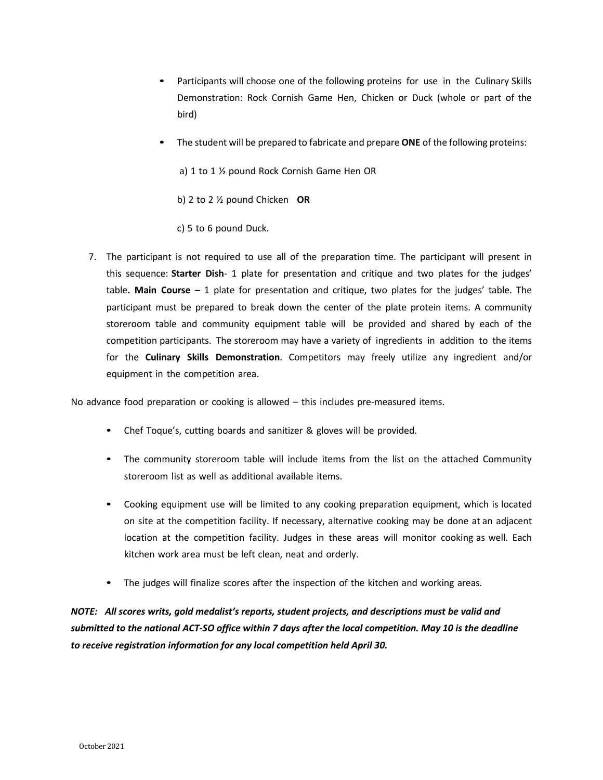- Participants will choose one of the following proteins for use in the Culinary Skills Demonstration: Rock Cornish Game Hen, Chicken or Duck (whole or part of the bird)
- The student will be prepared to fabricate and prepare **ONE** of the following proteins:
	- a) 1 to 1 ½ pound Rock Cornish Game Hen OR
	- b) 2 to 2 ½ pound Chicken **OR**
	- c) 5 to 6 pound Duck.
- 7. The participant is not required to use all of the preparation time. The participant will present in this sequence: **Starter Dish**- 1 plate for presentation and critique and two plates for the judges' table**. Main Course** – 1 plate for presentation and critique, two plates for the judges' table. The participant must be prepared to break down the center of the plate protein items. A community storeroom table and community equipment table will be provided and shared by each of the competition participants. The storeroom may have a variety of ingredients in addition to the items for the **Culinary Skills Demonstration**. Competitors may freely utilize any ingredient and/or equipment in the competition area.

No advance food preparation or cooking is allowed – this includes pre-measured items.

- Chef Toque's, cutting boards and sanitizer & gloves will be provided.
- The community storeroom table will include items from the list on the attached Community storeroom list as well as additional available items.
- Cooking equipment use will be limited to any cooking preparation equipment, which is located on site at the competition facility. If necessary, alternative cooking may be done at an adjacent location at the competition facility. Judges in these areas will monitor cooking as well. Each kitchen work area must be left clean, neat and orderly.
- The judges will finalize scores after the inspection of the kitchen and working areas.

*NOTE: All scores writs, gold medalist's reports, student projects, and descriptions must be valid and* submitted to the national ACT-SO office within 7 days after the local competition. May 10 is the deadline *to receive registration information for any local competition held April 30.*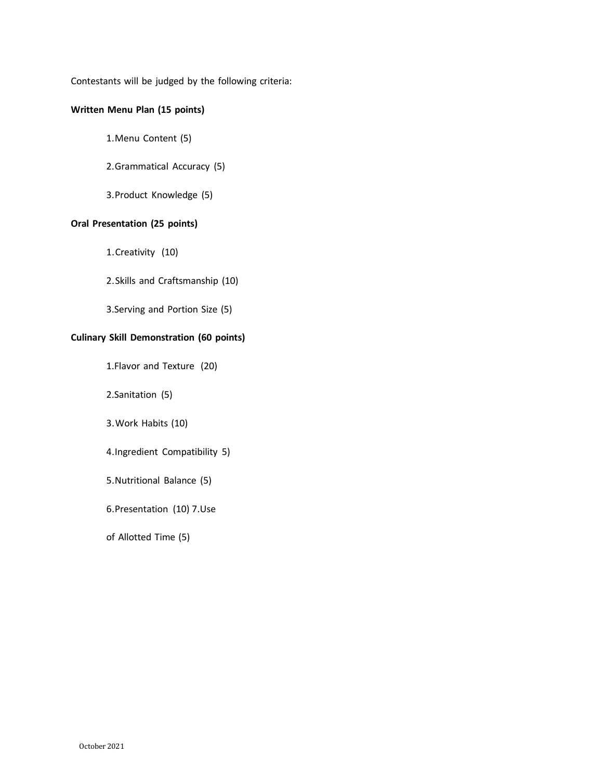Contestants will be judged by the following criteria:

#### **Written Menu Plan (15 points)**

1.Menu Content (5)

#### 2.Grammatical Accuracy (5)

3.Product Knowledge (5)

#### **Oral Presentation (25 points)**

1.Creativity (10)

2.Skills and Craftsmanship (10)

3.Serving and Portion Size (5)

#### **Culinary Skill Demonstration (60 points)**

1.Flavor and Texture (20)

2.Sanitation (5)

3.Work Habits (10)

4.Ingredient Compatibility 5)

5.Nutritional Balance (5)

6.Presentation (10) 7.Use

of Allotted Time (5)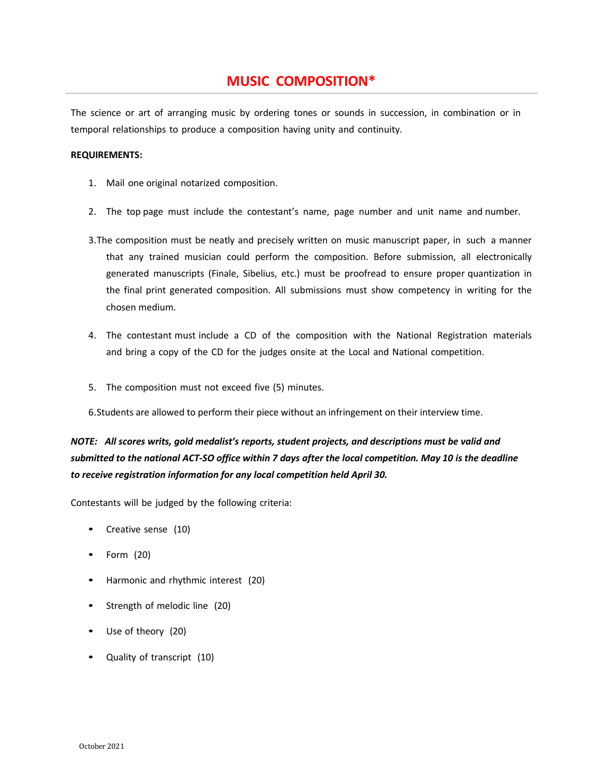# **MUSIC COMPOSITION\***

The science or art of arranging music by ordering tones or sounds in succession, in combination or in temporal relationships to produce a composition having unity and continuity.

#### **REQUIREMENTS:**

- 1. Mail one original notarized composition.
- 2. The top page must include the contestant's name, page number and unit name and number.
- 3.The composition must be neatly and precisely written on music manuscript paper, in such a manner that any trained musician could perform the composition. Before submission, all electronically generated manuscripts (Finale, Sibelius, etc.) must be proofread to ensure proper quantization in the final print generated composition. All submissions must show competency in writing for the chosen medium.
- 4. The contestant must include a CD of the composition with the National Registration materials and bring a copy of the CD for the judges onsite at the Local and National competition.
- 5. The composition must not exceed five (5) minutes.
- 6.Students are allowed to perform their piece without an infringement on their interview time.

# *NOTE: All scores writs, gold medalist's reports, student projects, and descriptions must be valid and* submitted to the national ACT-SO office within 7 days after the local competition. May 10 is the deadline *to receive registration information for any local competition held April 30.*

- Creative sense (10)
- Form (20)
- Harmonic and rhythmic interest (20)
- Strength of melodic line (20)
- Use of theory (20)
- Quality of transcript (10)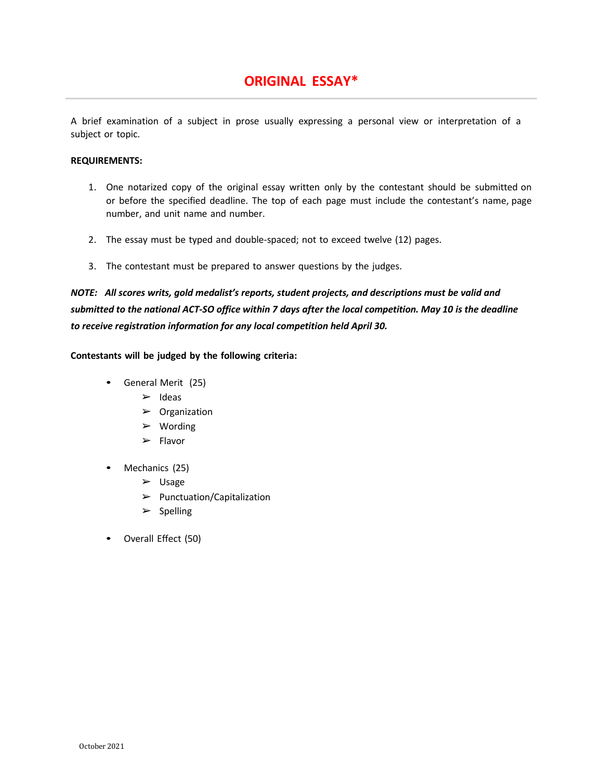# **ORIGINAL ESSAY\***

A brief examination of a subject in prose usually expressing a personal view or interpretation of a subject or topic.

#### **REQUIREMENTS:**

- 1. One notarized copy of the original essay written only by the contestant should be submitted on or before the specified deadline. The top of each page must include the contestant's name, page number, and unit name and number.
- 2. The essay must be typed and double-spaced; not to exceed twelve (12) pages.
- 3. The contestant must be prepared to answer questions by the judges.

*NOTE: All scores writs, gold medalist's reports, student projects, and descriptions must be valid and* submitted to the national ACT-SO office within 7 days after the local competition. May 10 is the deadline *to receive registration information for any local competition held April 30.*

- General Merit (25)
	- $\blacktriangleright$  Ideas
	- ➢ Organization
	- ➢ Wording
	- ➢ Flavor
- Mechanics (25)
	- ➢ Usage
	- $\blacktriangleright$  Punctuation/Capitalization
	- $\triangleright$  Spelling
- Overall Effect (50)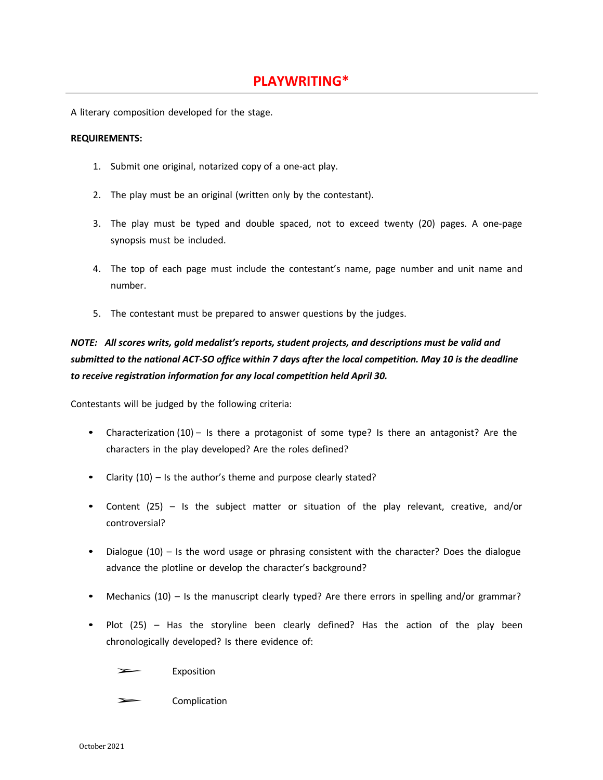A literary composition developed for the stage.

#### **REQUIREMENTS:**

- 1. Submit one original, notarized copy of a one-act play.
- 2. The play must be an original (written only by the contestant).
- 3. The play must be typed and double spaced, not to exceed twenty (20) pages. A one-page synopsis must be included.
- 4. The top of each page must include the contestant's name, page number and unit name and number.
- 5. The contestant must be prepared to answer questions by the judges.

# *NOTE: All scores writs, gold medalist's reports, student projects, and descriptions must be valid and* submitted to the national ACT-SO office within 7 days after the local competition. May 10 is the deadline *to receive registration information for any local competition held April 30.*

Contestants will be judged by the following criteria:

- Characterization (10) Is there a protagonist of some type? Is there an antagonist? Are the characters in the play developed? Are the roles defined?
- Clarity  $(10)$  Is the author's theme and purpose clearly stated?
- Content (25) Is the subject matter or situation of the play relevant, creative, and/or controversial?
- Dialogue (10) Is the word usage or phrasing consistent with the character? Does the dialogue advance the plotline or develop the character's background?
- Mechanics (10) Is the manuscript clearly typed? Are there errors in spelling and/or grammar?
- Plot (25) Has the storyline been clearly defined? Has the action of the play been chronologically developed? Is there evidence of:

**Exposition** 

**Complication**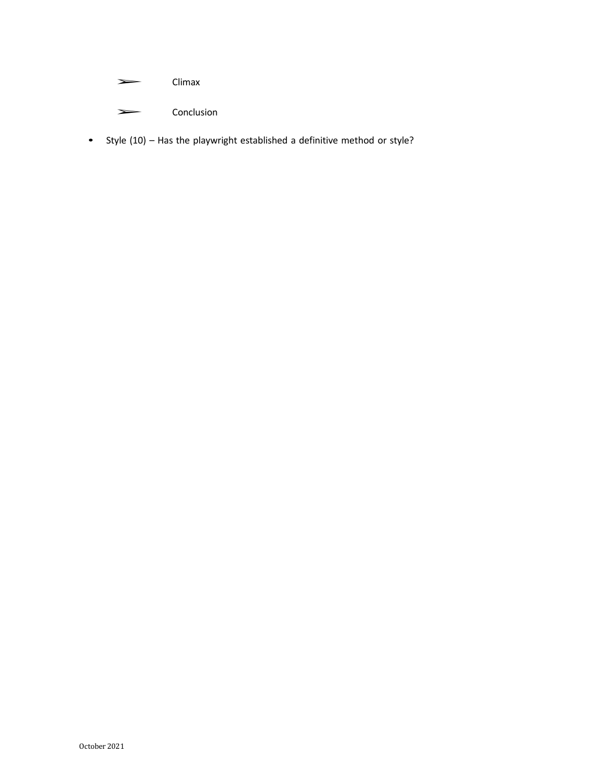#### ➢ Climax

- ➢ Conclusion
- Style (10) Has the playwright established a definitive method or style?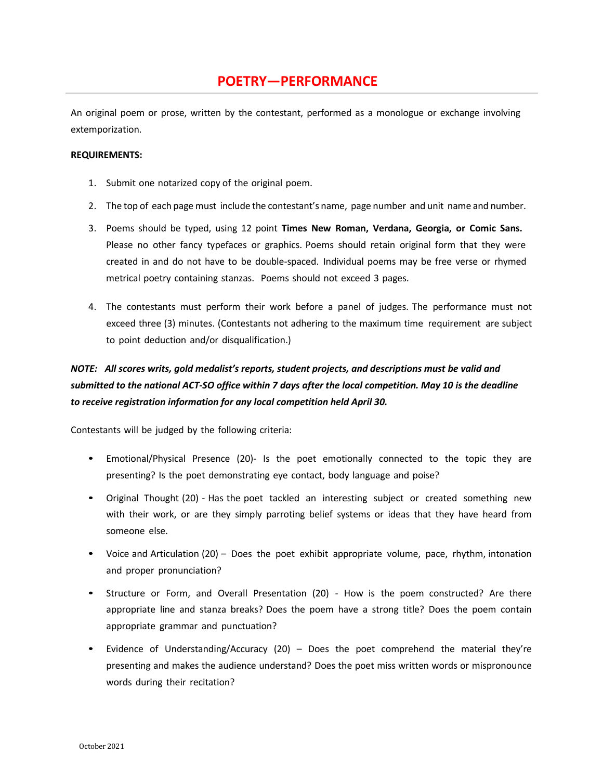# **POETRY—PERFORMANCE**

An original poem or prose, written by the contestant, performed as a monologue or exchange involving extemporization.

#### **REQUIREMENTS:**

- 1. Submit one notarized copy of the original poem.
- 2. The top of each page must include the contestant's name, page number and unit name and number.
- 3. Poems should be typed, using 12 point **Times New Roman, Verdana, Georgia, or Comic Sans.** Please no other fancy typefaces or graphics. Poems should retain original form that they were created in and do not have to be double-spaced. Individual poems may be free verse or rhymed metrical poetry containing stanzas. Poems should not exceed 3 pages.
- 4. The contestants must perform their work before a panel of judges. The performance must not exceed three (3) minutes. (Contestants not adhering to the maximum time requirement are subject to point deduction and/or disqualification.)

# *NOTE: All scores writs, gold medalist's reports, student projects, and descriptions must be valid and* submitted to the national ACT-SO office within 7 days after the local competition. May 10 is the deadline *to receive registration information for any local competition held April 30.*

- Emotional/Physical Presence (20)- Is the poet emotionally connected to the topic they are presenting? Is the poet demonstrating eye contact, body language and poise?
- Original Thought (20) Has the poet tackled an interesting subject or created something new with their work, or are they simply parroting belief systems or ideas that they have heard from someone else.
- Voice and Articulation (20) Does the poet exhibit appropriate volume, pace, rhythm, intonation and proper pronunciation?
- Structure or Form, and Overall Presentation (20) How is the poem constructed? Are there appropriate line and stanza breaks? Does the poem have a strong title? Does the poem contain appropriate grammar and punctuation?
- Evidence of Understanding/Accuracy (20) Does the poet comprehend the material they're presenting and makes the audience understand? Does the poet miss written words or mispronounce words during their recitation?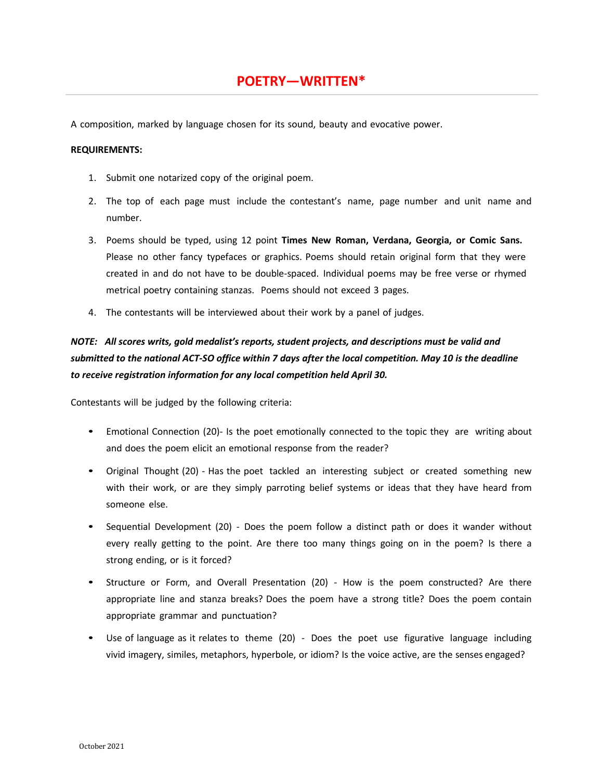A composition, marked by language chosen for its sound, beauty and evocative power.

#### **REQUIREMENTS:**

- 1. Submit one notarized copy of the original poem.
- 2. The top of each page must include the contestant's name, page number and unit name and number.
- 3. Poems should be typed, using 12 point **Times New Roman, Verdana, Georgia, or Comic Sans.** Please no other fancy typefaces or graphics. Poems should retain original form that they were created in and do not have to be double-spaced. Individual poems may be free verse or rhymed metrical poetry containing stanzas. Poems should not exceed 3 pages.
- 4. The contestants will be interviewed about their work by a panel of judges.

### *NOTE: All scores writs, gold medalist's reports, student projects, and descriptions must be valid and* submitted to the national ACT-SO office within 7 days after the local competition. May 10 is the deadline *to receive registration information for any local competition held April 30.*

- Emotional Connection (20)- Is the poet emotionally connected to the topic they are writing about and does the poem elicit an emotional response from the reader?
- Original Thought (20) Has the poet tackled an interesting subject or created something new with their work, or are they simply parroting belief systems or ideas that they have heard from someone else.
- Sequential Development (20) Does the poem follow a distinct path or does it wander without every really getting to the point. Are there too many things going on in the poem? Is there a strong ending, or is it forced?
- Structure or Form, and Overall Presentation (20) How is the poem constructed? Are there appropriate line and stanza breaks? Does the poem have a strong title? Does the poem contain appropriate grammar and punctuation?
- Use of language as it relates to theme (20) Does the poet use figurative language including vivid imagery, similes, metaphors, hyperbole, or idiom? Is the voice active, are the senses engaged?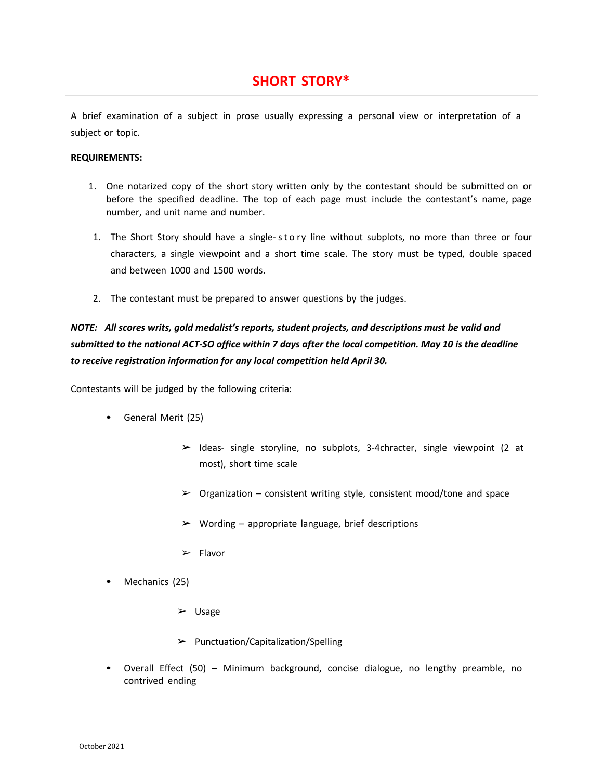# **SHORT STORY\***

A brief examination of a subject in prose usually expressing a personal view or interpretation of a subject or topic.

#### **REQUIREMENTS:**

- 1. One notarized copy of the short story written only by the contestant should be submitted on or before the specified deadline. The top of each page must include the contestant's name, page number, and unit name and number.
- 1. The Short Story should have a single- sto ry line without subplots, no more than three or four characters, a single viewpoint and a short time scale. The story must be typed, double spaced and between 1000 and 1500 words.
- 2. The contestant must be prepared to answer questions by the judges.

### *NOTE: All scores writs, gold medalist's reports, student projects, and descriptions must be valid and* submitted to the national ACT-SO office within 7 days after the local competition. May 10 is the deadline *to receive registration information for any local competition held April 30.*

- General Merit (25)
	- $\triangleright$  Ideas- single storyline, no subplots, 3-4chracter, single viewpoint (2 at most), short time scale
	- $\triangleright$  Organization consistent writing style, consistent mood/tone and space
	- $\triangleright$  Wording appropriate language, brief descriptions
	- ➢ Flavor
- Mechanics (25)
	- ➢ Usage
	- $\triangleright$  Punctuation/Capitalization/Spelling
- Overall Effect (50) Minimum background, concise dialogue, no lengthy preamble, no contrived ending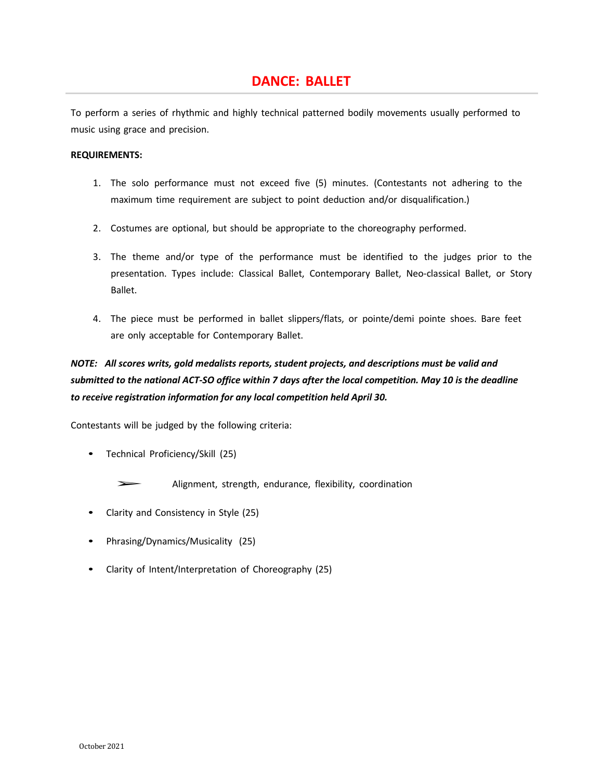# **DANCE: BALLET**

To perform a series of rhythmic and highly technical patterned bodily movements usually performed to music using grace and precision.

#### **REQUIREMENTS:**

- 1. The solo performance must not exceed five (5) minutes. (Contestants not adhering to the maximum time requirement are subject to point deduction and/or disqualification.)
- 2. Costumes are optional, but should be appropriate to the choreography performed.
- 3. The theme and/or type of the performance must be identified to the judges prior to the presentation. Types include: Classical Ballet, Contemporary Ballet, Neo-classical Ballet, or Story Ballet.
- 4. The piece must be performed in ballet slippers/flats, or pointe/demi pointe shoes. Bare feet are only acceptable for Contemporary Ballet.

# *NOTE: All scores writs, gold medalists reports, student projects, and descriptions must be valid and* submitted to the national ACT-SO office within 7 days after the local competition. May 10 is the deadline *to receive registration information for any local competition held April 30.*

- Technical Proficiency/Skill (25)
	- Alignment, strength, endurance, flexibility, coordination
- Clarity and Consistency in Style (25)
- Phrasing/Dynamics/Musicality (25)
- Clarity of Intent/Interpretation of Choreography (25)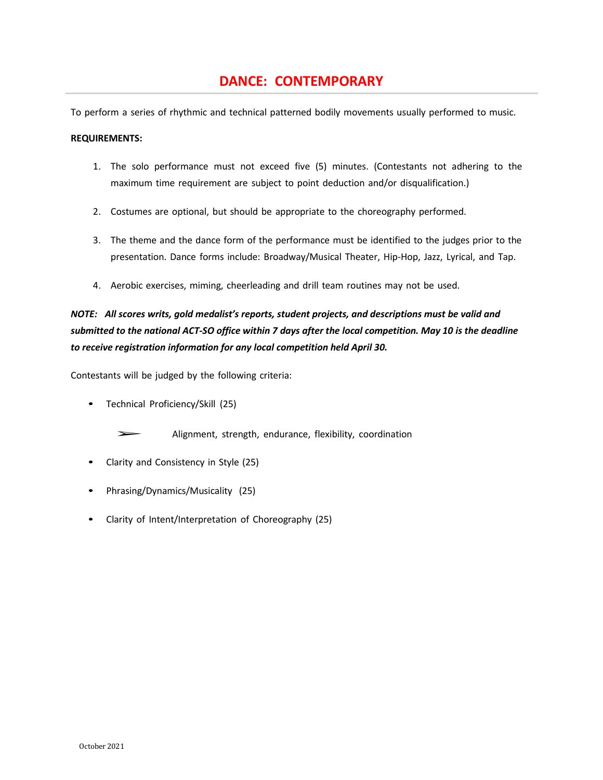# **DANCE: CONTEMPORARY**

To perform a series of rhythmic and technical patterned bodily movements usually performed to music.

#### **REQUIREMENTS:**

- 1. The solo performance must not exceed five (5) minutes. (Contestants not adhering to the maximum time requirement are subject to point deduction and/or disqualification.)
- 2. Costumes are optional, but should be appropriate to the choreography performed.
- 3. The theme and the dance form of the performance must be identified to the judges prior to the presentation. Dance forms include: Broadway/Musical Theater, Hip-Hop, Jazz, Lyrical, and Tap.
- 4. Aerobic exercises, miming, cheerleading and drill team routines may not be used.

### *NOTE: All scores writs, gold medalist's reports, student projects, and descriptions must be valid and* submitted to the national ACT-SO office within 7 days after the local competition. May 10 is the deadline *to receive registration information for any local competition held April 30.*

- Technical Proficiency/Skill (25)
	- Alignment, strength, endurance, flexibility, coordination
- Clarity and Consistency in Style (25)
- Phrasing/Dynamics/Musicality (25)
- Clarity of Intent/Interpretation of Choreography (25)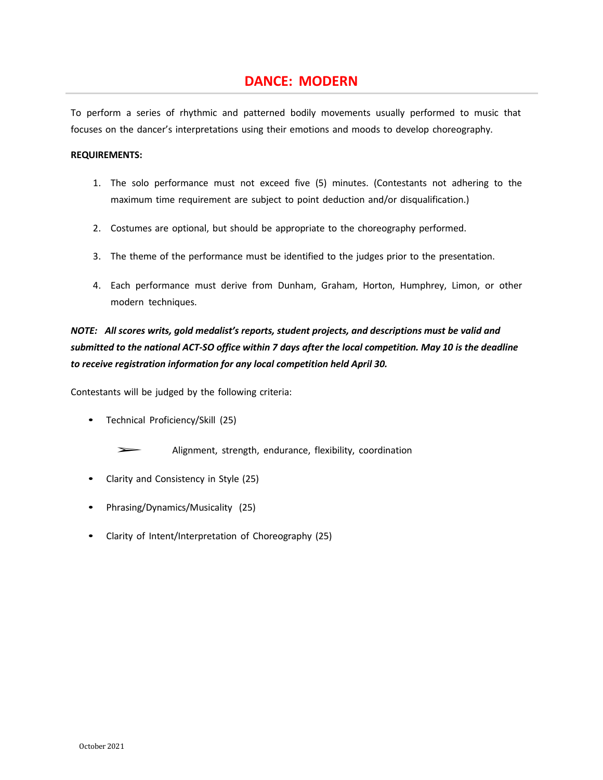# **DANCE: MODERN**

To perform a series of rhythmic and patterned bodily movements usually performed to music that focuses on the dancer's interpretations using their emotions and moods to develop choreography.

#### **REQUIREMENTS:**

- 1. The solo performance must not exceed five (5) minutes. (Contestants not adhering to the maximum time requirement are subject to point deduction and/or disqualification.)
- 2. Costumes are optional, but should be appropriate to the choreography performed.
- 3. The theme of the performance must be identified to the judges prior to the presentation.
- 4. Each performance must derive from Dunham, Graham, Horton, Humphrey, Limon, or other modern techniques.

### *NOTE: All scores writs, gold medalist's reports, student projects, and descriptions must be valid and* submitted to the national ACT-SO office within 7 days after the local competition. May 10 is the deadline *to receive registration information for any local competition held April 30.*

Contestants will be judged by the following criteria:

• Technical Proficiency/Skill (25)

Alignment, strength, endurance, flexibility, coordination

- Clarity and Consistency in Style (25)
- Phrasing/Dynamics/Musicality (25)
- Clarity of Intent/Interpretation of Choreography (25)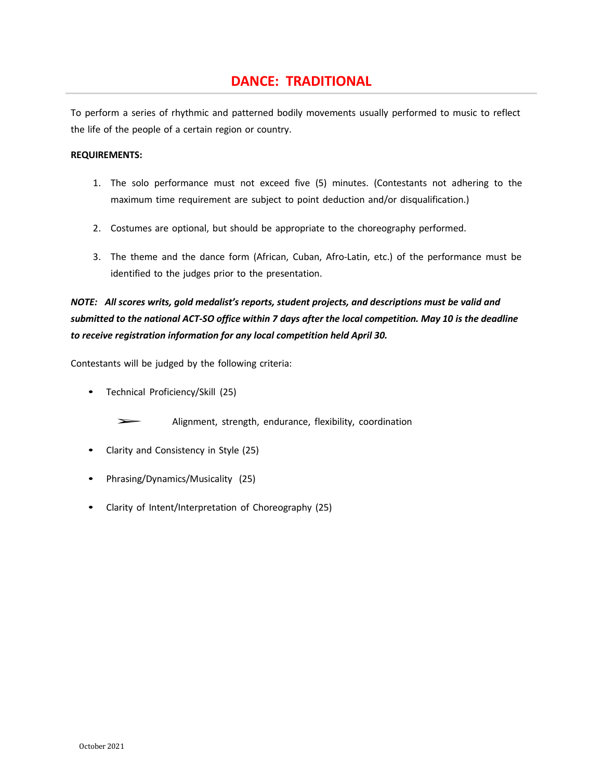# **DANCE: TRADITIONAL**

To perform a series of rhythmic and patterned bodily movements usually performed to music to reflect the life of the people of a certain region or country.

#### **REQUIREMENTS:**

- 1. The solo performance must not exceed five (5) minutes. (Contestants not adhering to the maximum time requirement are subject to point deduction and/or disqualification.)
- 2. Costumes are optional, but should be appropriate to the choreography performed.
- 3. The theme and the dance form (African, Cuban, Afro-Latin, etc.) of the performance must be identified to the judges prior to the presentation.

# *NOTE: All scores writs, gold medalist's reports, student projects, and descriptions must be valid and* submitted to the national ACT-SO office within 7 days after the local competition. May 10 is the deadline *to receive registration information for any local competition held April 30.*

Contestants will be judged by the following criteria:

• Technical Proficiency/Skill (25)

➢ Alignment, strength, endurance, flexibility, coordination

- Clarity and Consistency in Style (25)
- Phrasing/Dynamics/Musicality (25)
- Clarity of Intent/Interpretation of Choreography (25)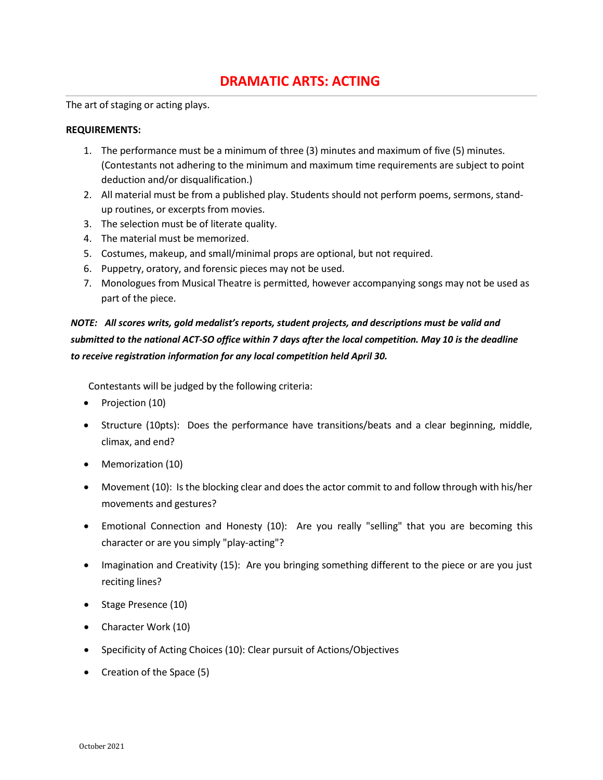# **DRAMATIC ARTS: ACTING**

The art of staging or acting plays.

#### **REQUIREMENTS:**

- 1. The performance must be a minimum of three (3) minutes and maximum of five (5) minutes. (Contestants not adhering to the minimum and maximum time requirements are subject to point deduction and/or disqualification.)
- 2. All material must be from a published play. Students should not perform poems, sermons, standup routines, or excerpts from movies.
- 3. The selection must be of literate quality.
- 4. The material must be memorized.
- 5. Costumes, makeup, and small/minimal props are optional, but not required.
- 6. Puppetry, oratory, and forensic pieces may not be used.
- 7. Monologues from Musical Theatre is permitted, however accompanying songs may not be used as part of the piece.

### *NOTE: All scores writs, gold medalist's reports, student projects, and descriptions must be valid and* submitted to the national ACT-SO office within 7 days after the local competition. May 10 is the deadline *to receive registration information for any local competition held April 30.*

- Projection (10)
- Structure (10pts): Does the performance have transitions/beats and a clear beginning, middle, climax, and end?
- Memorization (10)
- Movement (10): Is the blocking clear and does the actor commit to and follow through with his/her movements and gestures?
- Emotional Connection and Honesty (10): Are you really "selling" that you are becoming this character or are you simply "play-acting"?
- Imagination and Creativity (15): Are you bringing something different to the piece or are you just reciting lines?
- Stage Presence (10)
- Character Work (10)
- Specificity of Acting Choices (10): Clear pursuit of Actions/Objectives
- Creation of the Space (5)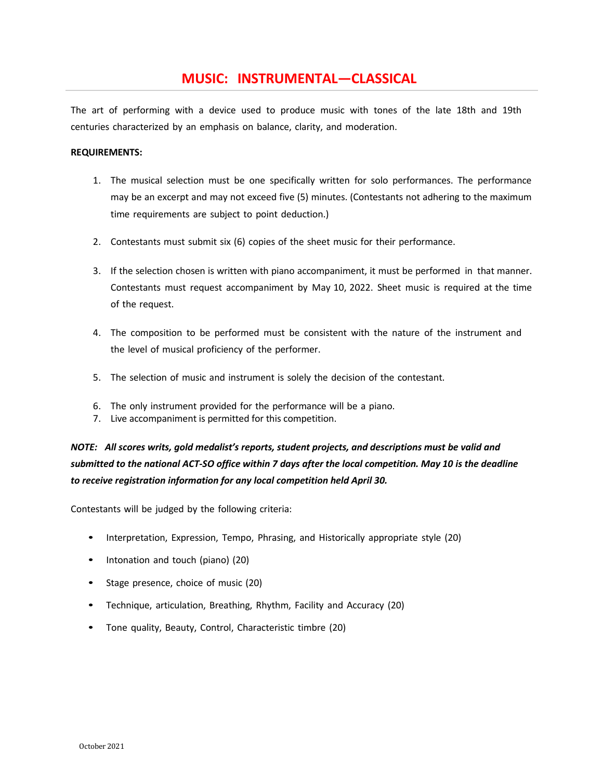### **MUSIC: INSTRUMENTAL—CLASSICAL**

The art of performing with a device used to produce music with tones of the late 18th and 19th centuries characterized by an emphasis on balance, clarity, and moderation.

#### **REQUIREMENTS:**

- 1. The musical selection must be one specifically written for solo performances. The performance may be an excerpt and may not exceed five (5) minutes. (Contestants not adhering to the maximum time requirements are subject to point deduction.)
- 2. Contestants must submit six (6) copies of the sheet music for their performance.
- 3. If the selection chosen is written with piano accompaniment, it must be performed in that manner. Contestants must request accompaniment by May 10, 2022. Sheet music is required at the time of the request.
- 4. The composition to be performed must be consistent with the nature of the instrument and the level of musical proficiency of the performer.
- 5. The selection of music and instrument is solely the decision of the contestant.
- 6. The only instrument provided for the performance will be a piano.
- 7. Live accompaniment is permitted for this competition.

*NOTE: All scores writs, gold medalist's reports, student projects, and descriptions must be valid and* submitted to the national ACT-SO office within 7 days after the local competition. May 10 is the deadline *to receive registration information for any local competition held April 30.*

- Interpretation, Expression, Tempo, Phrasing, and Historically appropriate style (20)
- Intonation and touch (piano) (20)
- Stage presence, choice of music (20)
- Technique, articulation, Breathing, Rhythm, Facility and Accuracy (20)
- Tone quality, Beauty, Control, Characteristic timbre (20)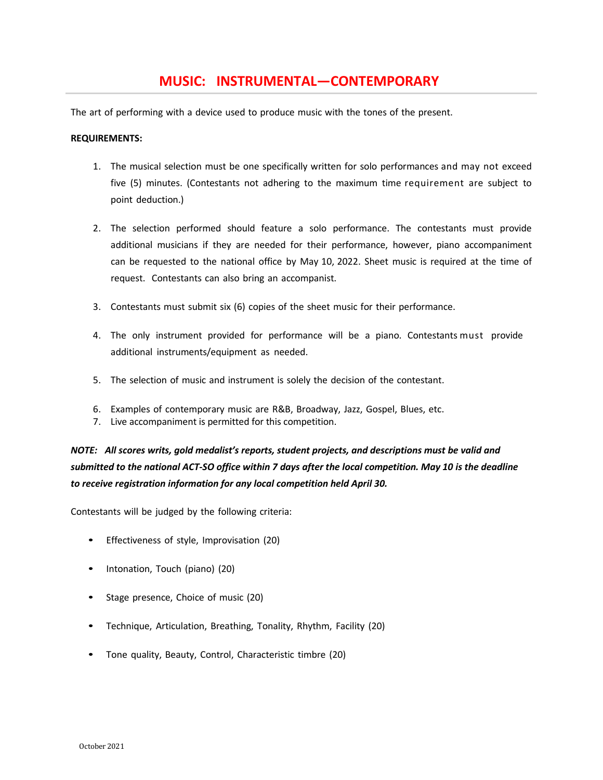# **MUSIC: INSTRUMENTAL—CONTEMPORARY**

The art of performing with a device used to produce music with the tones of the present.

#### **REQUIREMENTS:**

- 1. The musical selection must be one specifically written for solo performances and may not exceed five (5) minutes. (Contestants not adhering to the maximum time requirement are subject to point deduction.)
- 2. The selection performed should feature a solo performance. The contestants must provide additional musicians if they are needed for their performance, however, piano accompaniment can be requested to the national office by May 10, 2022. Sheet music is required at the time of request. Contestants can also bring an accompanist.
- 3. Contestants must submit six (6) copies of the sheet music for their performance.
- 4. The only instrument provided for performance will be a piano. Contestants must provide additional instruments/equipment as needed.
- 5. The selection of music and instrument is solely the decision of the contestant.
- 6. Examples of contemporary music are R&B, Broadway, Jazz, Gospel, Blues, etc.
- 7. Live accompaniment is permitted for this competition.

*NOTE: All scores writs, gold medalist's reports, student projects, and descriptions must be valid and* submitted to the national ACT-SO office within 7 days after the local competition. May 10 is the deadline *to receive registration information for any local competition held April 30.*

- Effectiveness of style, Improvisation (20)
- Intonation, Touch (piano) (20)
- Stage presence, Choice of music (20)
- Technique, Articulation, Breathing, Tonality, Rhythm, Facility (20)
- Tone quality, Beauty, Control, Characteristic timbre (20)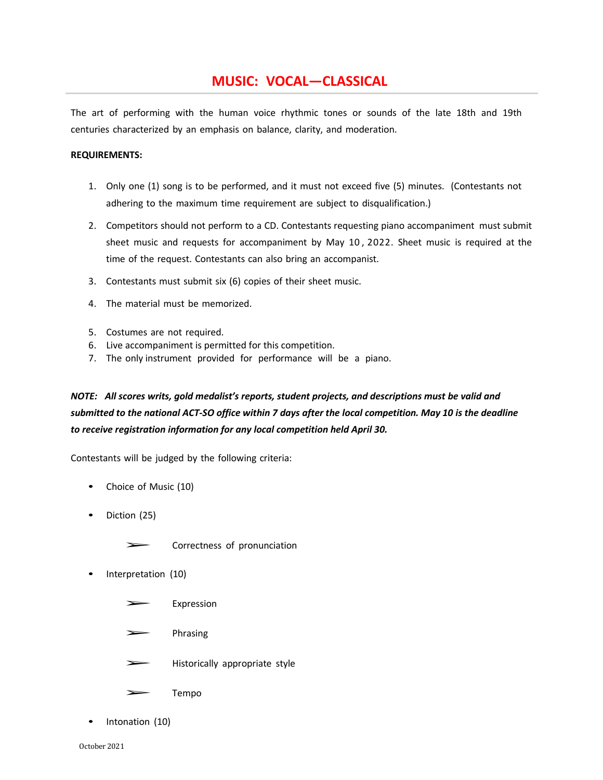# **MUSIC: VOCAL—CLASSICAL**

The art of performing with the human voice rhythmic tones or sounds of the late 18th and 19th centuries characterized by an emphasis on balance, clarity, and moderation.

#### **REQUIREMENTS:**

- 1. Only one (1) song is to be performed, and it must not exceed five (5) minutes. (Contestants not adhering to the maximum time requirement are subject to disqualification.)
- 2. Competitors should not perform to a CD. Contestants requesting piano accompaniment must submit sheet music and requests for accompaniment by May 10 , 2022. Sheet music is required at the time of the request. Contestants can also bring an accompanist.
- 3. Contestants must submit six (6) copies of their sheet music.
- 4. The material must be memorized.
- 5. Costumes are not required.
- 6. Live accompaniment is permitted for this competition.
- 7. The only instrument provided for performance will be a piano.

### *NOTE: All scores writs, gold medalist's reports, student projects, and descriptions must be valid and* submitted to the national ACT-SO office within 7 days after the local competition. May 10 is the deadline *to receive registration information for any local competition held April 30.*

- Choice of Music (10)
- Diction (25)
	- ➢ Correctness of pronunciation
- Interpretation (10)
	- **Expression**
	- ➢ Phrasing
	- ➢ Historically appropriate style
	- ➢ Tempo
- Intonation (10)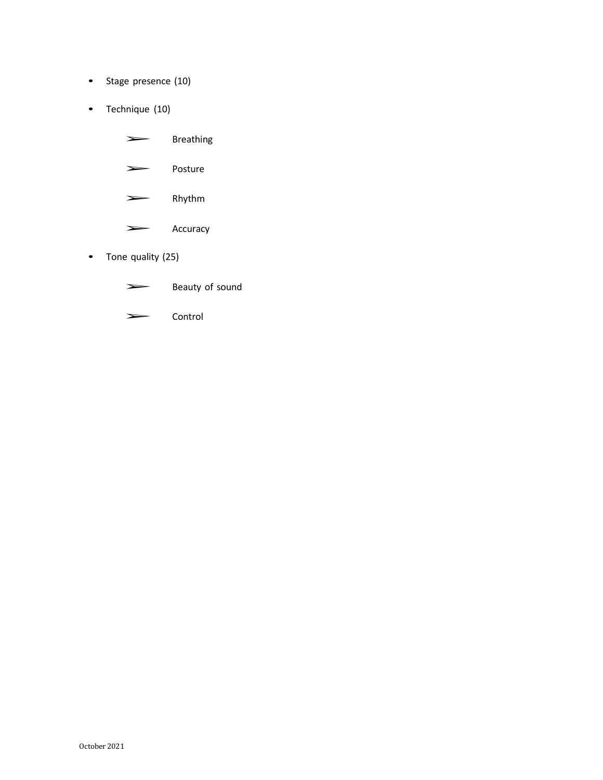- Stage presence (10)
- Technique (10)

- ➢ Posture
- ➢ Rhythm
- ➢ Accuracy
- Tone quality (25)
	- Eventy of sound
	- ➢ Control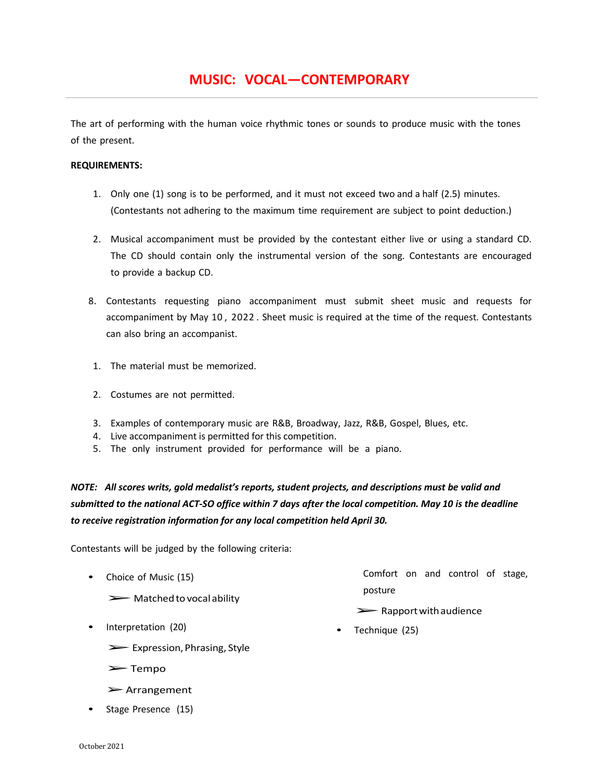The art of performing with the human voice rhythmic tones or sounds to produce music with the tones of the present.

#### **REQUIREMENTS:**

- 1. Only one (1) song is to be performed, and it must not exceed two and a half (2.5) minutes. (Contestants not adhering to the maximum time requirement are subject to point deduction.)
- 2. Musical accompaniment must be provided by the contestant either live or using a standard CD. The CD should contain only the instrumental version of the song. Contestants are encouraged to provide a backup CD.
- 8. Contestants requesting piano accompaniment must submit sheet music and requests for accompaniment by May 10 , 2022 . Sheet music is required at the time of the request. Contestants can also bring an accompanist.
- 1. The material must be memorized.
- 2. Costumes are not permitted.
- 3. Examples of contemporary music are R&B, Broadway, Jazz, R&B, Gospel, Blues, etc.
- 4. Live accompaniment is permitted for this competition.
- 5. The only instrument provided for performance will be a piano.

*NOTE: All scores writs, gold medalist's reports, student projects, and descriptions must be valid and* submitted to the national ACT-SO office within 7 days after the local competition. May 10 is the deadline *to receive registration information for any local competition held April 30.*

Contestants will be judged by the following criteria:

- Choice of Music (15)
	- $\triangleright$  Matched to vocal ability
- Interpretation (20)
	- ➢Expression,Phrasing, Style
	- ➢Tempo
	- ➢Arrangement
- Stage Presence (15)

Comfort on and control of stage, posture

- ➢Rapportwithaudience
- Technique (25)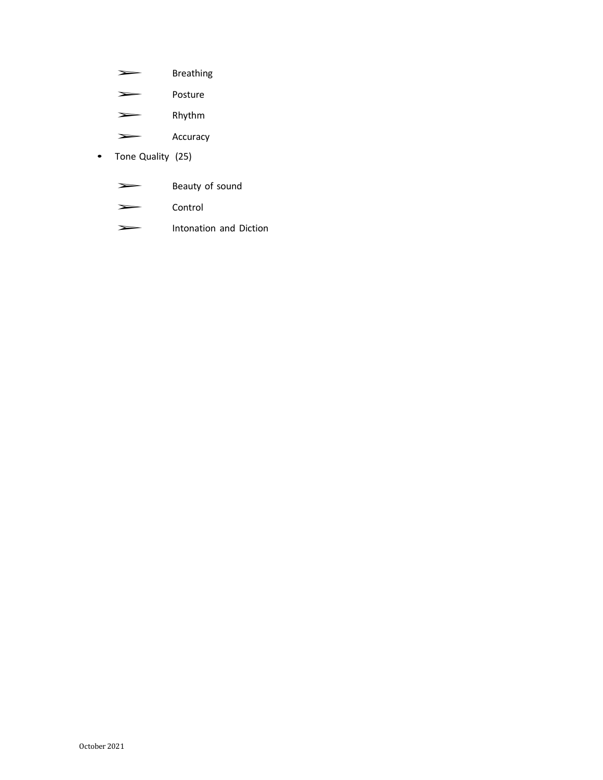- ➢ Breathing
- ➢ Posture
- ➢ Rhythm
- ➢ Accuracy
- Tone Quality (25)
	- Beauty of sound
	- ➢ Control
	- ➢ Intonation and Diction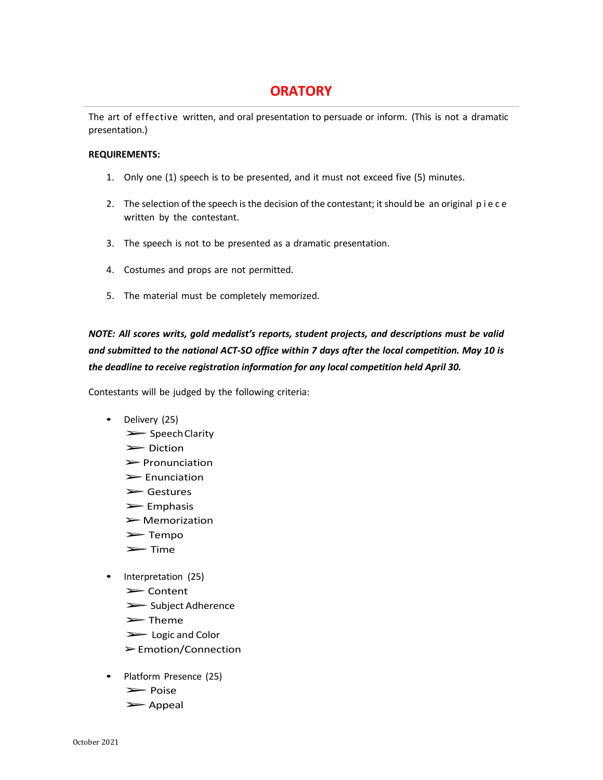# **ORATORY**

The art of effective written, and oral presentation to persuade or inform. (This is not a dramatic presentation.)

#### **REQUIREMENTS:**

- 1. Only one (1) speech is to be presented, and it must not exceed five (5) minutes.
- 2. The selection of the speech is the decision of the contestant; it should be an original p i e c e written by the contestant.
- 3. The speech is not to be presented as a dramatic presentation.
- 4. Costumes and props are not permitted.
- 5. The material must be completely memorized.

*NOTE: All scores writs, gold medalist's reports, student projects, and descriptions must be valid and submitted to the national ACT-SO office within 7 days after the local competition. May 10 is the deadline to receive registration information for any local competition held April 30.*

- Delivery (25)
	- ➢SpeechClarity
	- ➢Diction
	- $\triangleright$  Pronunciation
	- ➢Enunciation
	- ➢Gestures
	- ➢Emphasis
	- $\blacktriangleright$  Memorization
	- ➢Tempo
	- ➢Time
- Interpretation (25)
	- ➢Content
	- ➢Subject Adherence
	- ➢Theme
	- ➢Logic and Color
	- ➢Emotion/Connection
- Platform Presence (25)
	- ➢Poise
	- ➢Appeal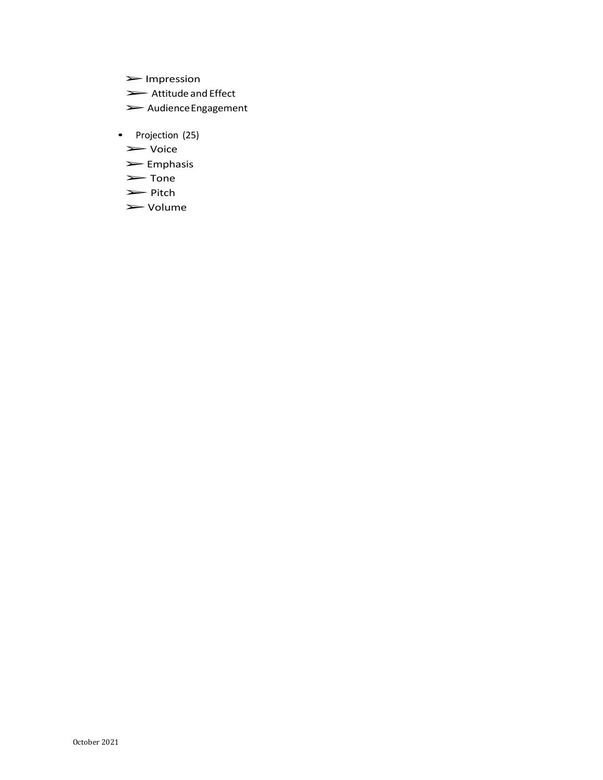- ➢Impression
- ➢Attitude and Effect
- ➢AudienceEngagement
- Projection (25)
	- ➢Voice
	- ➢Emphasis
	- ➢Tone
	- ➢Pitch
	- ➢Volume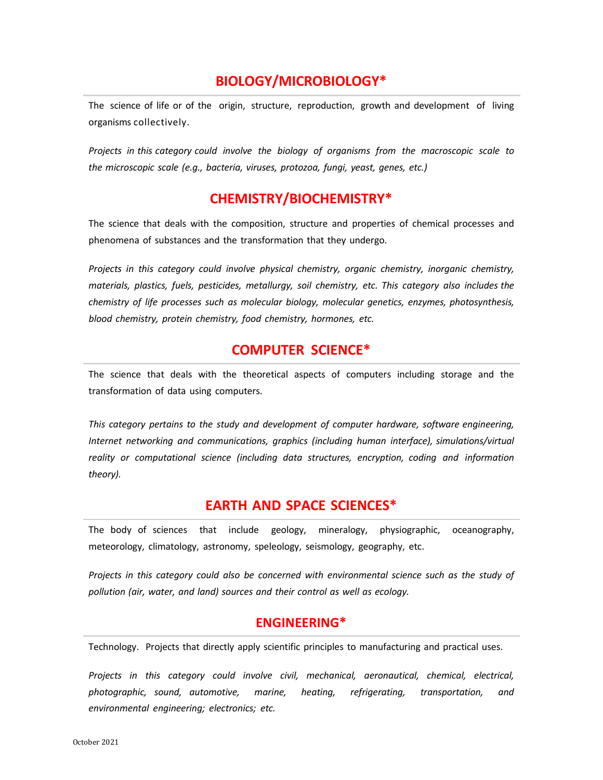# **BIOLOGY/MICROBIOLOGY\***

The science of life or of the origin, structure, reproduction, growth and development of living organisms collectively.

*Projects in this category could involve the biology of organisms from the macroscopic scale to the microscopic scale (e.g., bacteria, viruses, protozoa, fungi, yeast, genes, etc.)*

# **CHEMISTRY/BIOCHEMISTRY\***

The science that deals with the composition, structure and properties of chemical processes and phenomena of substances and the transformation that they undergo.

*Projects in this category could involve physical chemistry, organic chemistry, inorganic chemistry, materials, plastics, fuels, pesticides, metallurgy, soil chemistry, etc. This category also includes the chemistry of life processes such as molecular biology, molecular genetics, enzymes, photosynthesis, blood chemistry, protein chemistry, food chemistry, hormones, etc.*

### **COMPUTER SCIENCE\***

The science that deals with the theoretical aspects of computers including storage and the transformation of data using computers.

*This category pertains to the study and development of computer hardware, software engineering, Internet networking and communications, graphics (including human interface), simulations/virtual reality or computational science (including data structures, encryption, coding and information theory).*

### **EARTH AND SPACE SCIENCES\***

The body of sciences that include geology, mineralogy, physiographic, oceanography, meteorology, climatology, astronomy, speleology, seismology, geography, etc.

*Projects in this category could also be concerned with environmental science such as the study of pollution (air, water, and land) sources and their control as well as ecology.*

### **ENGINEERING\***

Technology. Projects that directly apply scientific principles to manufacturing and practical uses.

*Projects in this category could involve civil, mechanical, aeronautical, chemical, electrical, photographic, sound, automotive, marine, heating, refrigerating, transportation, and environmental engineering; electronics; etc.*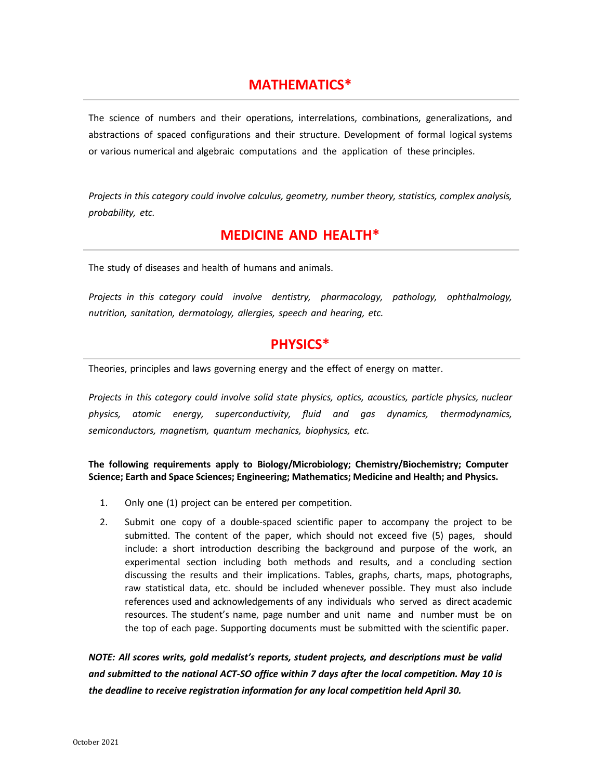# **MATHEMATICS\***

The science of numbers and their operations, interrelations, combinations, generalizations, and abstractions of spaced configurations and their structure. Development of formal logical systems or various numerical and algebraic computations and the application of these principles.

*Projects in this category could involve calculus, geometry, number theory, statistics, complex analysis, probability, etc.*

### **MEDICINE AND HEALTH\***

The study of diseases and health of humans and animals.

*Projects in this category could involve dentistry, pharmacology, pathology, ophthalmology, nutrition, sanitation, dermatology, allergies, speech and hearing, etc.*

# **PHYSICS\***

Theories, principles and laws governing energy and the effect of energy on matter.

*Projects in this category could involve solid state physics, optics, acoustics, particle physics, nuclear physics, atomic energy, superconductivity, fluid and gas dynamics, thermodynamics, semiconductors, magnetism, quantum mechanics, biophysics, etc.*

**The following requirements apply to Biology/Microbiology; Chemistry/Biochemistry; Computer Science; Earth and Space Sciences; Engineering; Mathematics; Medicine and Health; and Physics.**

- 1. Only one (1) project can be entered per competition.
- 2. Submit one copy of a double-spaced scientific paper to accompany the project to be submitted. The content of the paper, which should not exceed five (5) pages, should include: a short introduction describing the background and purpose of the work, an experimental section including both methods and results, and a concluding section discussing the results and their implications. Tables, graphs, charts, maps, photographs, raw statistical data, etc. should be included whenever possible. They must also include references used and acknowledgements of any individuals who served as direct academic resources. The student's name, page number and unit name and number must be on the top of each page. Supporting documents must be submitted with the scientific paper.

*NOTE: All scores writs, gold medalist's reports, student projects, and descriptions must be valid and submitted to the national ACT-SO office within 7 days after the local competition. May 10 is the deadline to receive registration information for any local competition held April 30.*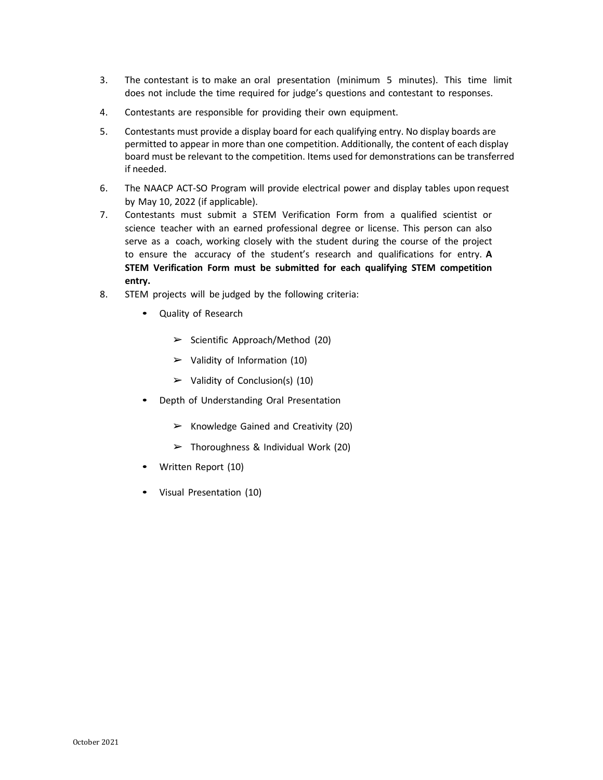- 3. The contestant is to make an oral presentation (minimum 5 minutes). This time limit does not include the time required for judge's questions and contestant to responses.
- 4. Contestants are responsible for providing their own equipment.
- 5. Contestants must provide a display board for each qualifying entry. No display boards are permitted to appear in more than one competition. Additionally, the content of each display board must be relevant to the competition. Items used for demonstrations can be transferred if needed.
- 6. The NAACP ACT-SO Program will provide electrical power and display tables upon request by May 10, 2022 (if applicable).
- 7. Contestants must submit a STEM Verification Form from a qualified scientist or science teacher with an earned professional degree or license. This person can also serve as a coach, working closely with the student during the course of the project to ensure the accuracy of the student's research and qualifications for entry. **A STEM Verification Form must be submitted for each qualifying STEM competition entry.**
- 8. STEM projects will be judged by the following criteria:
	- Quality of Research
		- ➢ Scientific Approach/Method (20)
		- $\triangleright$  Validity of Information (10)
		- $\triangleright$  Validity of Conclusion(s) (10)
	- Depth of Understanding Oral Presentation
		- $\triangleright$  Knowledge Gained and Creativity (20)
		- $\triangleright$  Thoroughness & Individual Work (20)
	- Written Report (10)
	- Visual Presentation (10)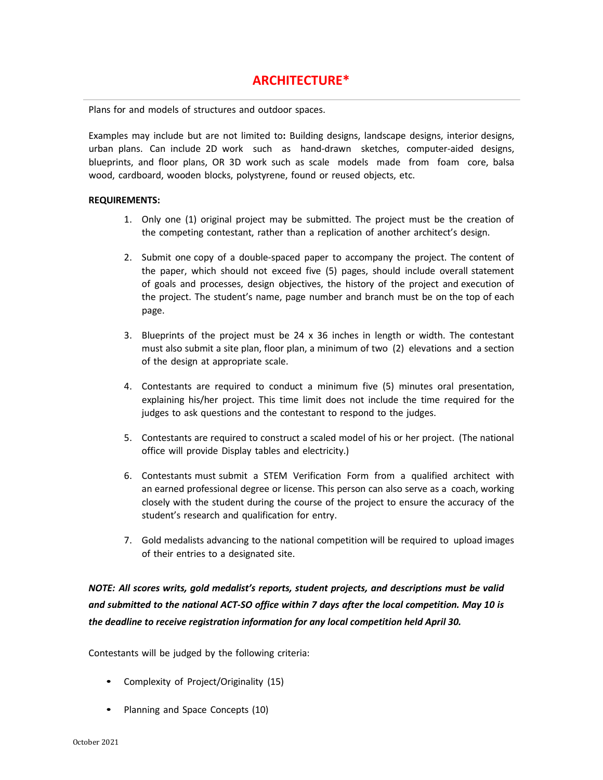Plans for and models of structures and outdoor spaces.

Examples may include but are not limited to**:** Building designs, landscape designs, interior designs, urban plans. Can include 2D work such as hand-drawn sketches, computer-aided designs, blueprints, and floor plans, OR 3D work such as scale models made from foam core, balsa wood, cardboard, wooden blocks, polystyrene, found or reused objects, etc.

#### **REQUIREMENTS:**

- 1. Only one (1) original project may be submitted. The project must be the creation of the competing contestant, rather than a replication of another architect's design.
- 2. Submit one copy of a double-spaced paper to accompany the project. The content of the paper, which should not exceed five (5) pages, should include overall statement of goals and processes, design objectives, the history of the project and execution of the project. The student's name, page number and branch must be on the top of each page.
- 3. Blueprints of the project must be  $24 \times 36$  inches in length or width. The contestant must also submit a site plan, floor plan, a minimum of two (2) elevations and a section of the design at appropriate scale.
- 4. Contestants are required to conduct a minimum five (5) minutes oral presentation, explaining his/her project. This time limit does not include the time required for the judges to ask questions and the contestant to respond to the judges.
- 5. Contestants are required to construct a scaled model of his or her project. (The national office will provide Display tables and electricity.)
- 6. Contestants must submit a STEM Verification Form from a qualified architect with an earned professional degree or license. This person can also serve as a coach, working closely with the student during the course of the project to ensure the accuracy of the student's research and qualification for entry.
- 7. Gold medalists advancing to the national competition will be required to upload images of their entries to a designated site.

*NOTE: All scores writs, gold medalist's reports, student projects, and descriptions must be valid and submitted to the national ACT-SO office within 7 days after the local competition. May 10 is the deadline to receive registration information for any local competition held April 30.*

- Complexity of Project/Originality (15)
- Planning and Space Concepts (10)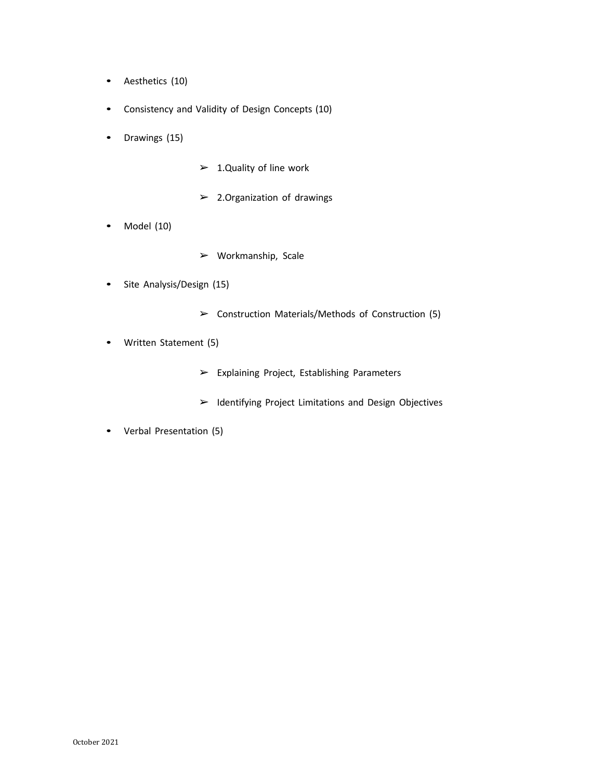- Aesthetics (10)
- Consistency and Validity of Design Concepts (10)
- Drawings (15)
- $\geq 1.$  Quality of line work
- $\geq$  2. Organization of drawings
- Model (10)
- ➢ Workmanship, Scale
- Site Analysis/Design (15)
	- ➢ Construction Materials/Methods of Construction (5)
- Written Statement (5)
	- ➢ Explaining Project, Establishing Parameters
	- ➢ Identifying Project Limitations and Design Objectives
- Verbal Presentation (5)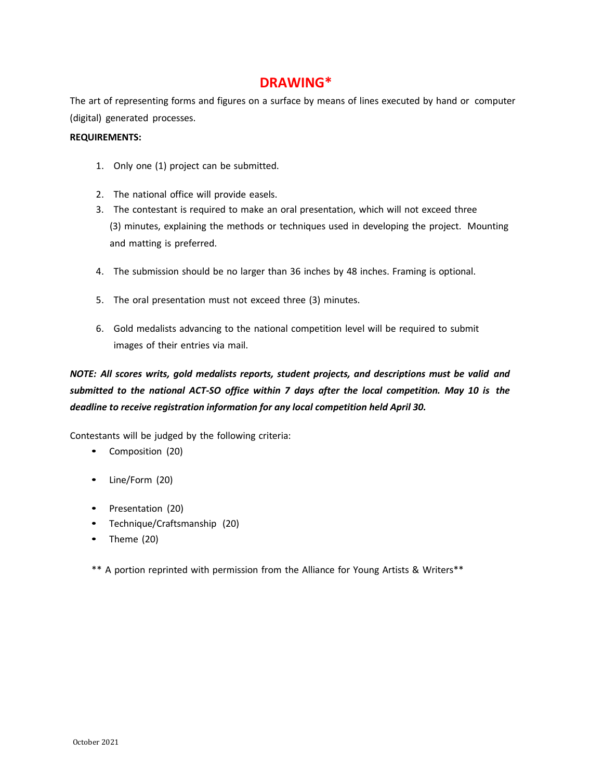### **DRAWING\***

The art of representing forms and figures on a surface by means of lines executed by hand or computer (digital) generated processes.

#### **REQUIREMENTS:**

- 1. Only one (1) project can be submitted.
- 2. The national office will provide easels.
- 3. The contestant is required to make an oral presentation, which will not exceed three (3) minutes, explaining the methods or techniques used in developing the project. Mounting and matting is preferred.
- 4. The submission should be no larger than 36 inches by 48 inches. Framing is optional.
- 5. The oral presentation must not exceed three (3) minutes.
- 6. Gold medalists advancing to the national competition level will be required to submit images of their entries via mail.

# *NOTE: All scores writs, gold medalists reports, student projects, and descriptions must be valid and submitted to the national ACT-SO office within 7 days after the local competition. May 10 is the deadline to receive registration information for any local competition held April 30.*

Contestants will be judged by the following criteria:

- Composition (20)
- Line/Form (20)
- Presentation (20)
- Technique/Craftsmanship (20)
- Theme (20)

\*\* A portion reprinted with permission from the Alliance for Young Artists & Writers\*\*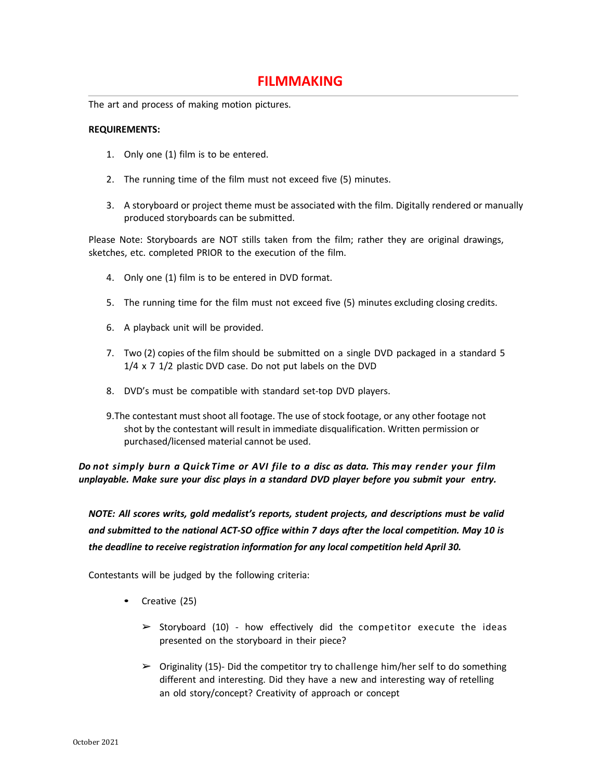# **FILMMAKING**

The art and process of making motion pictures.

#### **REQUIREMENTS:**

- 1. Only one (1) film is to be entered.
- 2. The running time of the film must not exceed five (5) minutes.
- 3. A storyboard or project theme must be associated with the film. Digitally rendered or manually produced storyboards can be submitted.

Please Note: Storyboards are NOT stills taken from the film; rather they are original drawings, sketches, etc. completed PRIOR to the execution of the film.

- 4. Only one (1) film is to be entered in DVD format.
- 5. The running time for the film must not exceed five (5) minutes excluding closing credits.
- 6. A playback unit will be provided.
- 7. Two (2) copies of the film should be submitted on a single DVD packaged in a standard 5 1/4 x 7 1/2 plastic DVD case. Do not put labels on the DVD
- 8. DVD's must be compatible with standard set-top DVD players.
- 9.The contestant must shoot all footage. The use of stock footage, or any other footage not shot by the contestant will result in immediate disqualification. Written permission or purchased/licensed material cannot be used.

*Do not simply burn a Quick Time or AVI file to a disc as data. This may render your film unplayable. Make sure your disc plays in a standard DVD player before you submit your entry.*

*NOTE: All scores writs, gold medalist's reports, student projects, and descriptions must be valid and submitted to the national ACT-SO office within 7 days after the local competition. May 10 is the deadline to receive registration information for any local competition held April 30.*

- Creative (25)
	- $\triangleright$  Storyboard (10) how effectively did the competitor execute the ideas presented on the storyboard in their piece?
	- $\triangleright$  Originality (15)- Did the competitor try to challenge him/her self to do something different and interesting. Did they have a new and interesting way of retelling an old story/concept? Creativity of approach or concept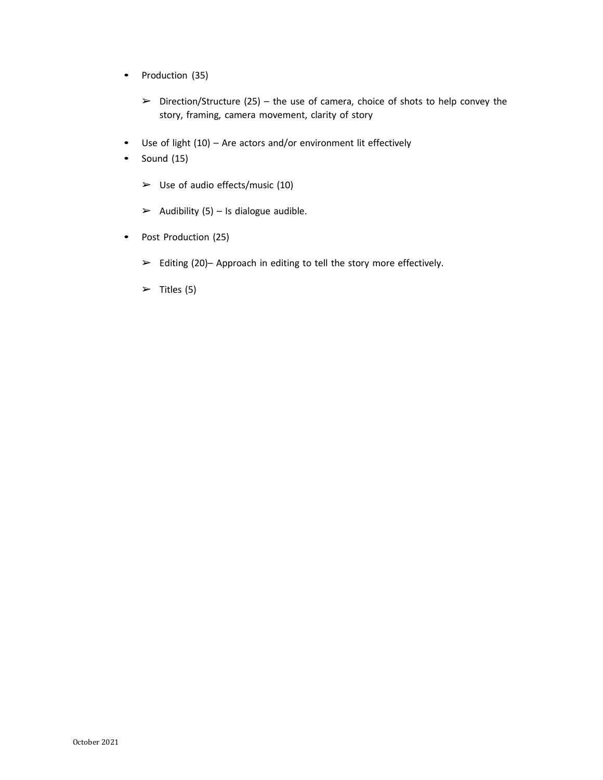- Production (35)
	- $\triangleright$  Direction/Structure (25) the use of camera, choice of shots to help convey the story, framing, camera movement, clarity of story
- Use of light (10) Are actors and/or environment lit effectively
- $\bullet$  Sound (15)
	- $\triangleright$  Use of audio effects/music (10)
	- $\triangleright$  Audibility (5) Is dialogue audible.
- Post Production (25)
	- $\triangleright$  Editing (20)– Approach in editing to tell the story more effectively.
	- $\triangleright$  Titles (5)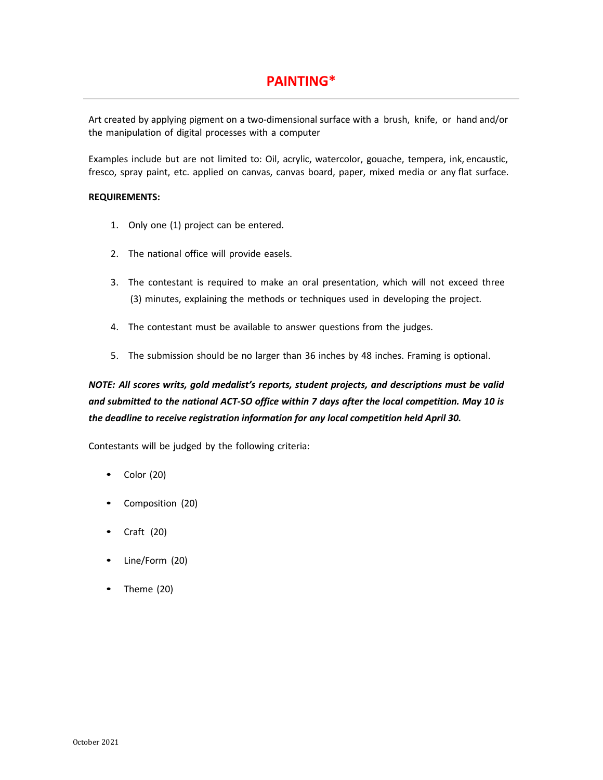# **PAINTING\***

Art created by applying pigment on a two-dimensional surface with a brush, knife, or hand and/or the manipulation of digital processes with a computer

Examples include but are not limited to: Oil, acrylic, watercolor, gouache, tempera, ink, encaustic, fresco, spray paint, etc. applied on canvas, canvas board, paper, mixed media or any flat surface.

#### **REQUIREMENTS:**

- 1. Only one (1) project can be entered.
- 2. The national office will provide easels.
- 3. The contestant is required to make an oral presentation, which will not exceed three (3) minutes, explaining the methods or techniques used in developing the project.
- 4. The contestant must be available to answer questions from the judges.
- 5. The submission should be no larger than 36 inches by 48 inches. Framing is optional.

# *NOTE: All scores writs, gold medalist's reports, student projects, and descriptions must be valid and submitted to the national ACT-SO office within 7 days after the local competition. May 10 is the deadline to receive registration information for any local competition held April 30.*

- Color (20)
- Composition (20)
- Craft (20)
- Line/Form (20)
- Theme (20)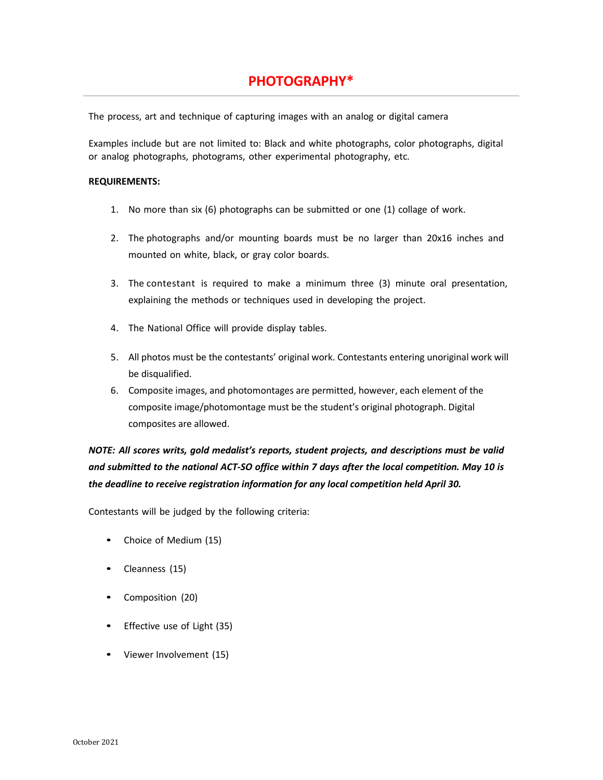# **PHOTOGRAPHY\***

The process, art and technique of capturing images with an analog or digital camera

Examples include but are not limited to: Black and white photographs, color photographs, digital or analog photographs, photograms, other experimental photography, etc.

#### **REQUIREMENTS:**

- 1. No more than six (6) photographs can be submitted or one (1) collage of work.
- 2. The photographs and/or mounting boards must be no larger than 20x16 inches and mounted on white, black, or gray color boards.
- 3. The contestant is required to make a minimum three (3) minute oral presentation, explaining the methods or techniques used in developing the project.
- 4. The National Office will provide display tables.
- 5. All photos must be the contestants' original work. Contestants entering unoriginal work will be disqualified.
- 6. Composite images, and photomontages are permitted, however, each element of the composite image/photomontage must be the student's original photograph. Digital composites are allowed.

*NOTE: All scores writs, gold medalist's reports, student projects, and descriptions must be valid and submitted to the national ACT-SO office within 7 days after the local competition. May 10 is the deadline to receive registration information for any local competition held April 30.*

- Choice of Medium (15)
- Cleanness (15)
- Composition (20)
- Effective use of Light (35)
- Viewer Involvement (15)